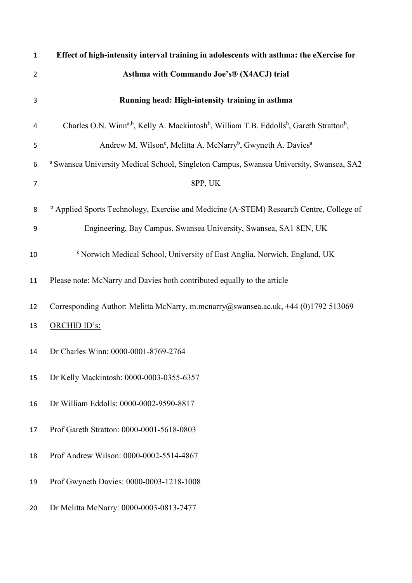| $\mathbf{1}$   | Effect of high-intensity interval training in adolescents with asthma: the eXercise for                                                  |
|----------------|------------------------------------------------------------------------------------------------------------------------------------------|
| 2              | Asthma with Commando Joe's® (X4ACJ) trial                                                                                                |
| 3              | Running head: High-intensity training in asthma                                                                                          |
| 4              | Charles O.N. Winn <sup>a,b</sup> , Kelly A. Mackintosh <sup>b</sup> , William T.B. Eddolls <sup>b</sup> , Gareth Stratton <sup>b</sup> , |
| 5              | Andrew M. Wilson <sup>c</sup> , Melitta A. McNarry <sup>b</sup> , Gwyneth A. Davies <sup>a</sup>                                         |
| 6              | a Swansea University Medical School, Singleton Campus, Swansea University, Swansea, SA2                                                  |
| $\overline{7}$ | 8PP, UK                                                                                                                                  |
| 8              | <sup>b</sup> Applied Sports Technology, Exercise and Medicine (A-STEM) Research Centre, College of                                       |
| 9              | Engineering, Bay Campus, Swansea University, Swansea, SA1 8EN, UK                                                                        |
| 10             | <sup>c</sup> Norwich Medical School, University of East Anglia, Norwich, England, UK                                                     |
| 11             | Please note: McNarry and Davies both contributed equally to the article                                                                  |
| 12             | Corresponding Author: Melitta McNarry, m.mcnarry@swansea.ac.uk, +44 (0)1792 513069                                                       |
| 13             | ORCHID ID's:                                                                                                                             |
| 14             | Dr Charles Winn: 0000-0001-8769-2764                                                                                                     |
| 15             | Dr Kelly Mackintosh: 0000-0003-0355-6357                                                                                                 |
| 16             | Dr William Eddolls: 0000-0002-9590-8817                                                                                                  |
| 17             | Prof Gareth Stratton: 0000-0001-5618-0803                                                                                                |
| 18             | Prof Andrew Wilson: 0000-0002-5514-4867                                                                                                  |
| 19             | Prof Gwyneth Davies: 0000-0003-1218-1008                                                                                                 |
| 20             | Dr Melitta McNarry: 0000-0003-0813-7477                                                                                                  |
|                |                                                                                                                                          |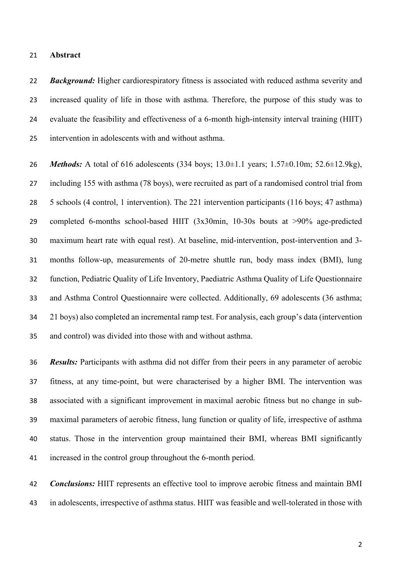#### **Abstract**

*Background:* Higher cardiorespiratory fitness is associated with reduced asthma severity and increased quality of life in those with asthma. Therefore, the purpose of this study was to evaluate the feasibility and effectiveness of a 6-month high-intensity interval training (HIIT) intervention in adolescents with and without asthma.

 *Methods:* A total of 616 adolescents (334 boys; 13.0±1.1 years; 1.57±0.10m; 52.6±12.9kg), including 155 with asthma (78 boys), were recruited as part of a randomised control trial from 5 schools (4 control, 1 intervention). The 221 intervention participants (116 boys; 47 asthma) completed 6-months school-based HIIT (3x30min, 10-30s bouts at >90% age-predicted maximum heart rate with equal rest). At baseline, mid-intervention, post-intervention and 3- months follow-up, measurements of 20-metre shuttle run, body mass index (BMI), lung function, Pediatric Quality of Life Inventory, Paediatric Asthma Quality of Life Questionnaire and Asthma Control Questionnaire were collected. Additionally, 69 adolescents (36 asthma; 21 boys) also completed an incremental ramp test. For analysis, each group's data (intervention and control) was divided into those with and without asthma.

 *Results:* Participants with asthma did not differ from their peers in any parameter of aerobic fitness, at any time-point, but were characterised by a higher BMI. The intervention was associated with a significant improvement in maximal aerobic fitness but no change in sub- maximal parameters of aerobic fitness, lung function or quality of life, irrespective of asthma status. Those in the intervention group maintained their BMI, whereas BMI significantly increased in the control group throughout the 6-month period.

 *Conclusions:* HIIT represents an effective tool to improve aerobic fitness and maintain BMI in adolescents, irrespective of asthma status. HIIT was feasible and well-tolerated in those with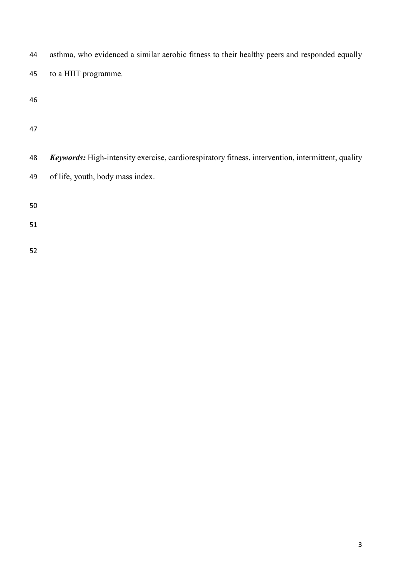| 44 | asthma, who evidenced a similar aerobic fitness to their healthy peers and responded equally             |
|----|----------------------------------------------------------------------------------------------------------|
| 45 | to a HIIT programme.                                                                                     |
| 46 |                                                                                                          |
| 47 |                                                                                                          |
| 48 | <b>Keywords:</b> High-intensity exercise, cardiorespiratory fitness, intervention, intermittent, quality |
| 49 | of life, youth, body mass index.                                                                         |
| 50 |                                                                                                          |
| 51 |                                                                                                          |
| 52 |                                                                                                          |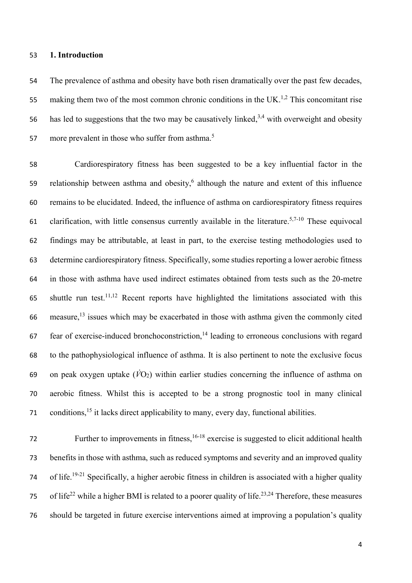### **1. Introduction**

 The prevalence of asthma and obesity have both risen dramatically over the past few decades, 55 making them two of the most common chronic conditions in the UK.<sup>1,2</sup> This concomitant rise 56 has led to suggestions that the two may be causatively linked,  $3,4$  with overweight and obesity more prevalent in those who suffer from asthma.<sup>5</sup> 

 Cardiorespiratory fitness has been suggested to be a key influential factor in the 59 relationship between asthma and obesity, although the nature and extent of this influence remains to be elucidated. Indeed, the influence of asthma on cardiorespiratory fitness requires 61 clarification, with little consensus currently available in the literature.<sup>5,7-10</sup> These equivocal findings may be attributable, at least in part, to the exercise testing methodologies used to determine cardiorespiratory fitness. Specifically, some studies reporting a lower aerobic fitness in those with asthma have used indirect estimates obtained from tests such as the 20-metre 65 shuttle run test.<sup>11,12</sup> Recent reports have highlighted the limitations associated with this 66 measure,<sup>13</sup> issues which may be exacerbated in those with asthma given the commonly cited fear of exercise-induced bronchoconstriction,<sup>14</sup> leading to erroneous conclusions with regard to the pathophysiological influence of asthma. It is also pertinent to note the exclusive focus 69 on peak oxygen uptake  $(\dot{V}O_2)$  within earlier studies concerning the influence of asthma on aerobic fitness. Whilst this is accepted to be a strong prognostic tool in many clinical conditions,<sup>15</sup> it lacks direct applicability to many, every day, functional abilities.

Further to improvements in fitness,  $16-18$  exercise is suggested to elicit additional health benefits in those with asthma, such as reduced symptoms and severity and an improved quality 74 of life.<sup>19-21</sup> Specifically, a higher aerobic fitness in children is associated with a higher quality 75 of life<sup>22</sup> while a higher BMI is related to a poorer quality of life.<sup>23,24</sup> Therefore, these measures should be targeted in future exercise interventions aimed at improving a population's quality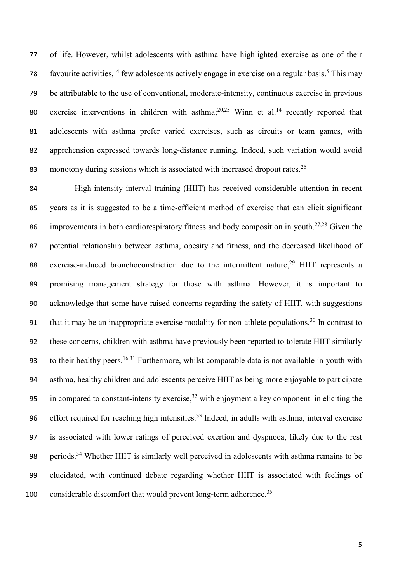of life. However, whilst adolescents with asthma have highlighted exercise as one of their 78 favourite activities, few adolescents actively engage in exercise on a regular basis.<sup>5</sup> This may be attributable to the use of conventional, moderate-intensity, continuous exercise in previous 80 exercise interventions in children with asthma;  $20,25$  Winn et al.<sup>14</sup> recently reported that adolescents with asthma prefer varied exercises, such as circuits or team games, with apprehension expressed towards long-distance running. Indeed, such variation would avoid 83 monotony during sessions which is associated with increased dropout rates.<sup>26</sup>

 High-intensity interval training (HIIT) has received considerable attention in recent years as it is suggested to be a time-efficient method of exercise that can elicit significant 86 improvements in both cardiorespiratory fitness and body composition in youth.<sup>27,28</sup> Given the potential relationship between asthma, obesity and fitness, and the decreased likelihood of 88 exercise-induced bronchoconstriction due to the intermittent nature, HIIT represents a promising management strategy for those with asthma. However, it is important to acknowledge that some have raised concerns regarding the safety of HIIT, with suggestions 91 that it may be an inappropriate exercise modality for non-athlete populations.<sup>30</sup> In contrast to these concerns, children with asthma have previously been reported to tolerate HIIT similarly 93 to their healthy peers.<sup>16,31</sup> Furthermore, whilst comparable data is not available in youth with asthma, healthy children and adolescents perceive HIIT as being more enjoyable to participate 95 in compared to constant-intensity exercise, with enjoyment a key component in eliciting the 96 effort required for reaching high intensities.<sup>33</sup> Indeed, in adults with asthma, interval exercise is associated with lower ratings of perceived exertion and dyspnoea, likely due to the rest 98 periods.<sup>34</sup> Whether HIIT is similarly well perceived in adolescents with asthma remains to be elucidated, with continued debate regarding whether HIIT is associated with feelings of 100 considerable discomfort that would prevent long-term adherence.<sup>35</sup>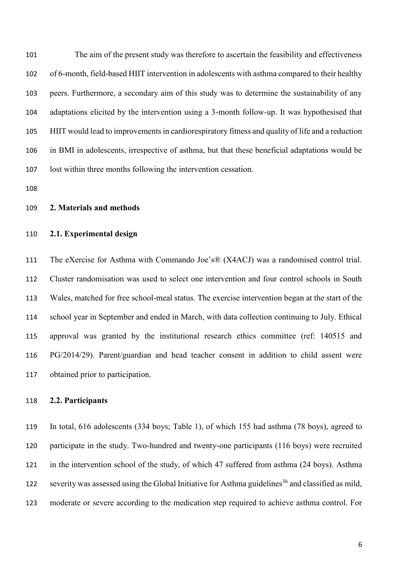The aim of the present study was therefore to ascertain the feasibility and effectiveness of 6-month, field-based HIIT intervention in adolescents with asthma compared to their healthy peers. Furthermore, a secondary aim of this study was to determine the sustainability of any adaptations elicited by the intervention using a 3-month follow-up. It was hypothesised that HIIT would lead to improvements in cardiorespiratory fitness and quality of life and a reduction in BMI in adolescents, irrespective of asthma, but that these beneficial adaptations would be lost within three months following the intervention cessation.

## **2. Materials and methods**

# **2.1. Experimental design**

 The eXercise for Asthma with Commando Joe's® (X4ACJ) was a randomised control trial. Cluster randomisation was used to select one intervention and four control schools in South Wales, matched for free school-meal status. The exercise intervention began at the start of the school year in September and ended in March, with data collection continuing to July. Ethical approval was granted by the institutional research ethics committee (ref: 140515 and PG/2014/29). Parent/guardian and head teacher consent in addition to child assent were obtained prior to participation.

# **2.2. Participants**

 In total, 616 adolescents (334 boys; Table 1), of which 155 had asthma (78 boys), agreed to participate in the study. Two-hundred and twenty-one participants (116 boys) were recruited in the intervention school of the study, of which 47 suffered from asthma (24 boys). Asthma severity was assessed using the Global Initiative for Asthma guidelines<sup>36</sup> and classified as mild, moderate or severe according to the medication step required to achieve asthma control. For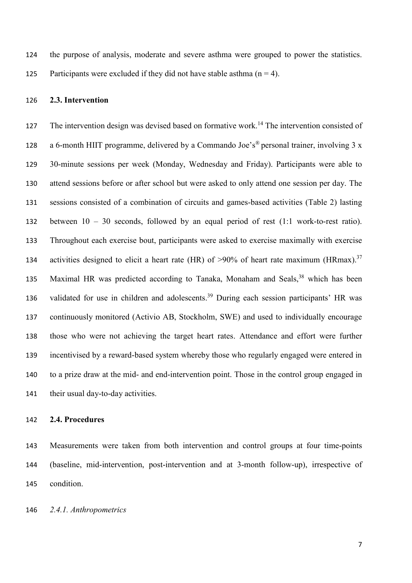the purpose of analysis, moderate and severe asthma were grouped to power the statistics. 125 Participants were excluded if they did not have stable asthma  $(n = 4)$ .

## **2.3. Intervention**

127 The intervention design was devised based on formative work.<sup>14</sup> The intervention consisted of 128 a 6-month HIIT programme, delivered by a Commando Joe's<sup>®</sup> personal trainer, involving 3 x 30-minute sessions per week (Monday, Wednesday and Friday). Participants were able to attend sessions before or after school but were asked to only attend one session per day. The sessions consisted of a combination of circuits and games-based activities (Table 2) lasting between 10 – 30 seconds, followed by an equal period of rest (1:1 work-to-rest ratio). Throughout each exercise bout, participants were asked to exercise maximally with exercise 134 activities designed to elicit a heart rate (HR) of >90% of heart rate maximum (HRmax).<sup>37</sup> 135 Maximal HR was predicted according to Tanaka, Monaham and Seals, which has been 136 validated for use in children and adolescents.<sup>39</sup> During each session participants' HR was continuously monitored (Activio AB, Stockholm, SWE) and used to individually encourage those who were not achieving the target heart rates. Attendance and effort were further incentivised by a reward-based system whereby those who regularly engaged were entered in to a prize draw at the mid- and end-intervention point. Those in the control group engaged in 141 their usual day-to-day activities.

#### **2.4. Procedures**

 Measurements were taken from both intervention and control groups at four time-points (baseline, mid-intervention, post-intervention and at 3-month follow-up), irrespective of condition.

*2.4.1. Anthropometrics*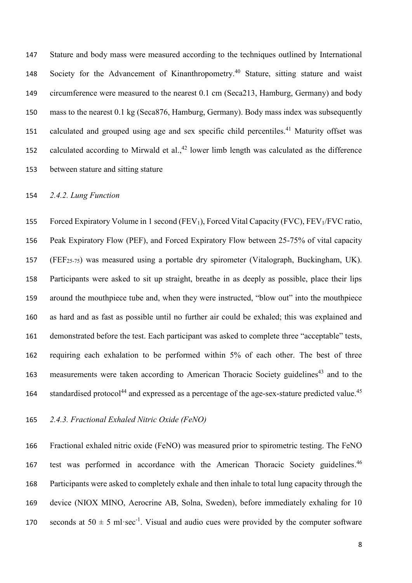Stature and body mass were measured according to the techniques outlined by International 148 Society for the Advancement of Kinanthropometry.<sup>40</sup> Stature, sitting stature and waist circumference were measured to the nearest 0.1 cm (Seca213, Hamburg, Germany) and body mass to the nearest 0.1 kg (Seca876, Hamburg, Germany). Body mass index was subsequently 151 calculated and grouped using age and sex specific child percentiles.<sup>41</sup> Maturity offset was 152 calculated according to Mirwald et al., lower limb length was calculated as the difference between stature and sitting stature

# *2.4.2. Lung Function*

155 Forced Expiratory Volume in 1 second (FEV<sub>1</sub>), Forced Vital Capacity (FVC), FEV<sub>1</sub>/FVC ratio, Peak Expiratory Flow (PEF), and Forced Expiratory Flow between 25-75% of vital capacity (FEF25-75) was measured using a portable dry spirometer (Vitalograph, Buckingham, UK). Participants were asked to sit up straight, breathe in as deeply as possible, place their lips around the mouthpiece tube and, when they were instructed, "blow out" into the mouthpiece as hard and as fast as possible until no further air could be exhaled; this was explained and demonstrated before the test. Each participant was asked to complete three "acceptable" tests, requiring each exhalation to be performed within 5% of each other. The best of three 163 measurements were taken according to American Thoracic Society guidelines<sup>43</sup> and to the 164 standardised protocol<sup>44</sup> and expressed as a percentage of the age-sex-stature predicted value.<sup>45</sup>

*2.4.3. Fractional Exhaled Nitric Oxide (FeNO)*

 Fractional exhaled nitric oxide (FeNO) was measured prior to spirometric testing. The FeNO 167 test was performed in accordance with the American Thoracic Society guidelines.<sup>46</sup> Participants were asked to completely exhale and then inhale to total lung capacity through the device (NIOX MINO, Aerocrine AB, Solna, Sweden), before immediately exhaling for 10 170 seconds at  $50 \pm 5$  ml·sec<sup>-1</sup>. Visual and audio cues were provided by the computer software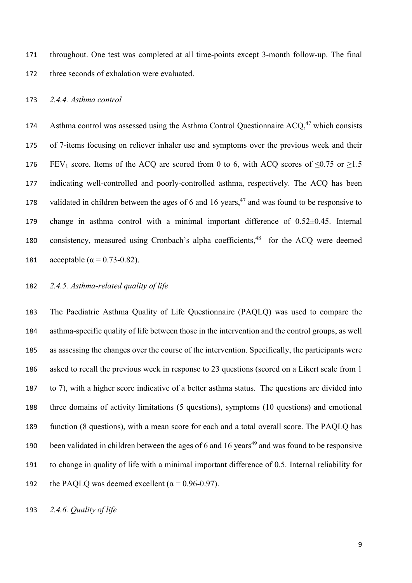throughout. One test was completed at all time-points except 3-month follow-up. The final three seconds of exhalation were evaluated.

## *2.4.4. Asthma control*

174 Asthma control was assessed using the Asthma Control Questionnaire  $ACO<sub>1</sub><sup>47</sup>$  which consists of 7-items focusing on reliever inhaler use and symptoms over the previous week and their 176 FEV<sub>1</sub> score. Items of the ACQ are scored from 0 to 6, with ACQ scores of  $\leq 0.75$  or  $\geq 1.5$  indicating well-controlled and poorly-controlled asthma, respectively. The ACQ has been 178 validated in children between the ages of 6 and 16 years, and was found to be responsive to change in asthma control with a minimal important difference of 0.52±0.45. Internal 180 consistency, measured using Cronbach's alpha coefficients,<sup>48</sup> for the ACQ were deemed 181 acceptable ( $\alpha = 0.73 - 0.82$ ).

## *2.4.5. Asthma-related quality of life*

 The Paediatric Asthma Quality of Life Questionnaire (PAQLQ) was used to compare the asthma-specific quality of life between those in the intervention and the control groups, as well as assessing the changes over the course of the intervention. Specifically, the participants were asked to recall the previous week in response to 23 questions (scored on a Likert scale from 1 to 7), with a higher score indicative of a better asthma status. The questions are divided into three domains of activity limitations (5 questions), symptoms (10 questions) and emotional function (8 questions), with a mean score for each and a total overall score. The PAQLQ has 190 been validated in children between the ages of 6 and 16 years<sup>49</sup> and was found to be responsive to change in quality of life with a minimal important difference of 0.5. Internal reliability for 192 the PAOLO was deemed excellent ( $\alpha$  = 0.96-0.97).

*2.4.6. Quality of life*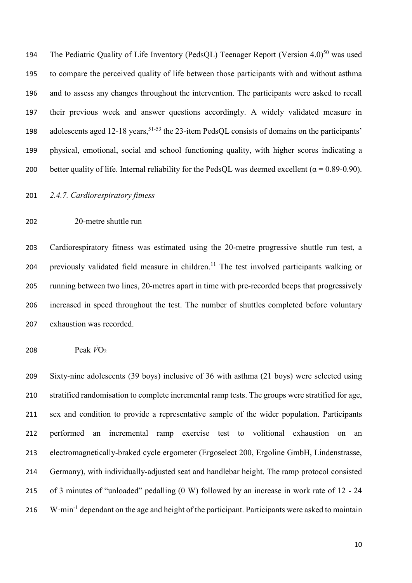194 The Pediatric Quality of Life Inventory (PedsQL) Teenager Report (Version  $4.0$ )<sup>50</sup> was used to compare the perceived quality of life between those participants with and without asthma and to assess any changes throughout the intervention. The participants were asked to recall their previous week and answer questions accordingly. A widely validated measure in 198 adolescents aged 12-18 years,<sup>51-53</sup> the 23-item PedsQL consists of domains on the participants' physical, emotional, social and school functioning quality, with higher scores indicating a 200 better quality of life. Internal reliability for the PedsQL was deemed excellent ( $\alpha = 0.89$ -0.90).

*2.4.7. Cardiorespiratory fitness* 

20-metre shuttle run

 Cardiorespiratory fitness was estimated using the 20-metre progressive shuttle run test, a 204 previously validated field measure in children.<sup>11</sup> The test involved participants walking or running between two lines, 20-metres apart in time with pre-recorded beeps that progressively increased in speed throughout the test. The number of shuttles completed before voluntary exhaustion was recorded.

Peak *V̇*O<sup>2</sup>

 Sixty-nine adolescents (39 boys) inclusive of 36 with asthma (21 boys) were selected using stratified randomisation to complete incremental ramp tests. The groups were stratified for age, sex and condition to provide a representative sample of the wider population. Participants performed an incremental ramp exercise test to volitional exhaustion on an electromagnetically-braked cycle ergometer (Ergoselect 200, Ergoline GmbH, Lindenstrasse, Germany), with individually-adjusted seat and handlebar height. The ramp protocol consisted of 3 minutes of "unloaded" pedalling (0 W) followed by an increase in work rate of 12 - 24 216 W·min<sup>-1</sup> dependant on the age and height of the participant. Participants were asked to maintain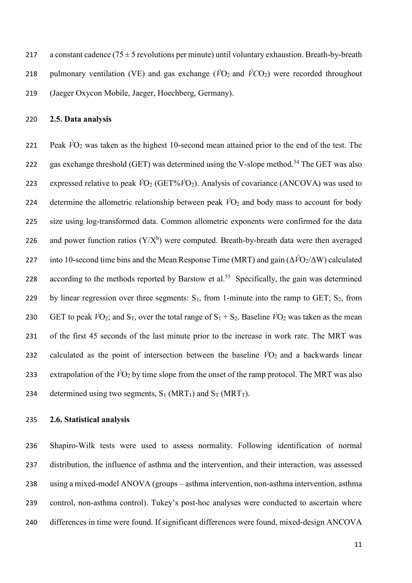217 a constant cadence  $(75 \pm 5$  revolutions per minute) until voluntary exhaustion. Breath-by-breath 218 pulmonary ventilation (VE) and gas exchange ( $\dot{V}O_2$  and  $\dot{V}CO_2$ ) were recorded throughout 219 (Jaeger Oxycon Mobile, Jaeger, Hoechberg, Germany).

220 **2.5. Data analysis**

221 Peak *V̇*O<sup>2</sup> was taken as the highest 10-second mean attained prior to the end of the test. The 222 gas exchange threshold (GET) was determined using the V-slope method.<sup>54</sup> The GET was also 223 expressed relative to peak  $\dot{V}O_2$  (GET% $\dot{V}O_2$ ). Analysis of covariance (ANCOVA) was used to 224 determine the allometric relationship between peak  $\dot{V}O_2$  and body mass to account for body 225 size using log-transformed data. Common allometric exponents were confirmed for the data 226 and power function ratios  $(Y/X^b)$  were computed. Breath-by-breath data were then averaged 227 into 10-second time bins and the Mean Response Time (MRT) and gain (Δ*V̇*O2/ΔW) calculated 228 according to the methods reported by Barstow et al.<sup>55</sup> Specifically, the gain was determined 229 by linear regression over three segments:  $S_1$ , from 1-minute into the ramp to GET;  $S_2$ , from 230 GET to peak  $\dot{V}O_2$ ; and S<sub>T</sub>, over the total range of S<sub>1</sub> + S<sub>2</sub>. Baseline  $\dot{V}O_2$  was taken as the mean 231 of the first 45 seconds of the last minute prior to the increase in work rate. The MRT was 232 calculated as the point of intersection between the baseline  $\dot{V}O_2$  and a backwards linear 233 extrapolation of the  $\dot{V}O_2$  by time slope from the onset of the ramp protocol. The MRT was also 234 determined using two segments,  $S_1$  (MRT<sub>1</sub>) and  $S_T$  (MRT<sub>T</sub>).

### 235 **2.6. Statistical analysis**

 Shapiro-Wilk tests were used to assess normality. Following identification of normal distribution, the influence of asthma and the intervention, and their interaction, was assessed using a mixed-model ANOVA (groups – asthma intervention, non-asthma intervention, asthma control, non-asthma control). Tukey's post-hoc analyses were conducted to ascertain where differences in time were found. If significant differences were found, mixed-design ANCOVA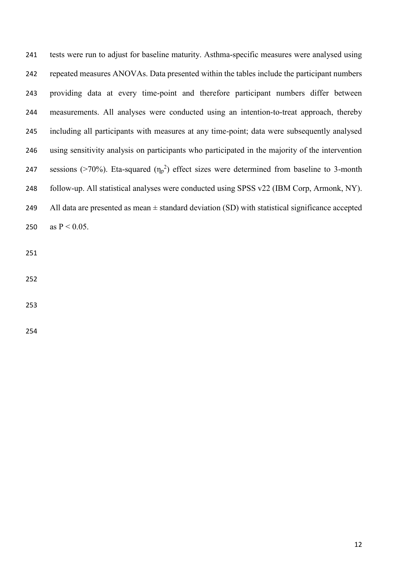tests were run to adjust for baseline maturity. Asthma-specific measures were analysed using repeated measures ANOVAs. Data presented within the tables include the participant numbers providing data at every time-point and therefore participant numbers differ between measurements. All analyses were conducted using an intention-to-treat approach, thereby including all participants with measures at any time-point; data were subsequently analysed using sensitivity analysis on participants who participated in the majority of the intervention 247 sessions (>70%). Eta-squared  $(\eta_p^2)$  effect sizes were determined from baseline to 3-month follow-up. All statistical analyses were conducted using SPSS v22 (IBM Corp, Armonk, NY). 249 All data are presented as mean  $\pm$  standard deviation (SD) with statistical significance accepted 250 as  $P < 0.05$ .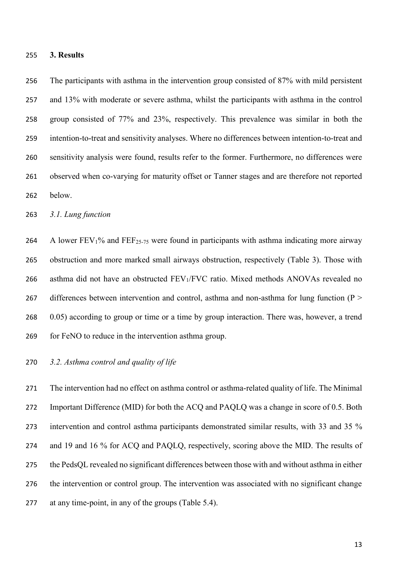#### **3. Results**

 The participants with asthma in the intervention group consisted of 87% with mild persistent and 13% with moderate or severe asthma, whilst the participants with asthma in the control group consisted of 77% and 23%, respectively. This prevalence was similar in both the intention-to-treat and sensitivity analyses. Where no differences between intention-to-treat and sensitivity analysis were found, results refer to the former. Furthermore, no differences were observed when co-varying for maturity offset or Tanner stages and are therefore not reported below.

*3.1. Lung function*

264 A lower  $FEV_1\%$  and  $FEF_{25-75}$  were found in participants with asthma indicating more airway obstruction and more marked small airways obstruction, respectively (Table 3). Those with 266 asthma did not have an obstructed FEV<sub>1</sub>/FVC ratio. Mixed methods ANOVAs revealed no 267 differences between intervention and control, asthma and non-asthma for lung function ( $P >$  0.05) according to group or time or a time by group interaction. There was, however, a trend for FeNO to reduce in the intervention asthma group.

# *3.2. Asthma control and quality of life*

 The intervention had no effect on asthma control or asthma-related quality of life. The Minimal Important Difference (MID) for both the ACQ and PAQLQ was a change in score of 0.5. Both intervention and control asthma participants demonstrated similar results, with 33 and 35 % and 19 and 16 % for ACQ and PAQLQ, respectively, scoring above the MID. The results of the PedsQL revealed no significant differences between those with and without asthma in either the intervention or control group. The intervention was associated with no significant change at any time-point, in any of the groups (Table 5.4).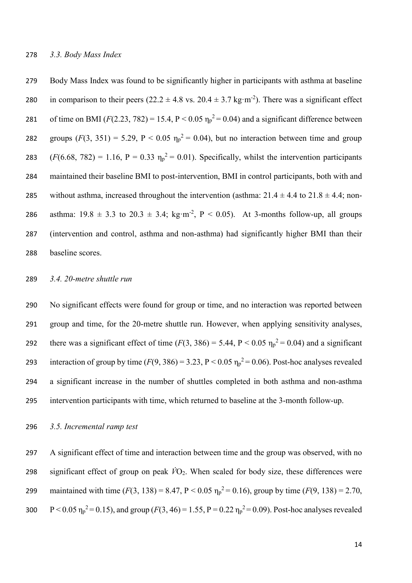279 Body Mass Index was found to be significantly higher in participants with asthma at baseline 280 in comparison to their peers (22.2  $\pm$  4.8 vs. 20.4  $\pm$  3.7 kg·m<sup>-2</sup>). There was a significant effect 281 of time on BMI  $(F(2.23, 782) = 15.4, P < 0.05 \eta_p^2 = 0.04)$  and a significant difference between 282 groups  $(F(3, 351) = 5.29, P < 0.05$   $\eta_p^2 = 0.04$ ), but no interaction between time and group 283  $(F(6.68, 782) = 1.16, P = 0.33 \eta_p^2 = 0.01)$ . Specifically, whilst the intervention participants 284 maintained their baseline BMI to post-intervention, BMI in control participants, both with and 285 without asthma, increased throughout the intervention (asthma:  $21.4 \pm 4.4$  to  $21.8 \pm 4.4$ ; non-286 asthma:  $19.8 \pm 3.3$  to  $20.3 \pm 3.4$ ; kg·m<sup>-2</sup>, P < 0.05). At 3-months follow-up, all groups 287 (intervention and control, asthma and non-asthma) had significantly higher BMI than their 288 baseline scores.

## 289 *3.4. 20-metre shuttle run*

 No significant effects were found for group or time, and no interaction was reported between group and time, for the 20-metre shuttle run. However, when applying sensitivity analyses, 292 there was a significant effect of time  $(F(3, 386) = 5.44, P < 0.05 \eta_p^2 = 0.04)$  and a significant 293 interaction of group by time  $(F(9, 386) = 3.23, P < 0.05 \eta_p^2 = 0.06)$ . Post-hoc analyses revealed a significant increase in the number of shuttles completed in both asthma and non-asthma intervention participants with time, which returned to baseline at the 3-month follow-up.

296 *3.5. Incremental ramp test*

297 A significant effect of time and interaction between time and the group was observed, with no 298 significant effect of group on peak  $\dot{V}O_2$ . When scaled for body size, these differences were 299 maintained with time  $(F(3, 138) = 8.47, P < 0.05$   $\eta_p^2 = 0.16$ ), group by time  $(F(9, 138) = 2.70,$ 300  $P < 0.05 \eta_p^2 = 0.15$ ), and group ( $F(3, 46) = 1.55$ ,  $P = 0.22 \eta_p^2 = 0.09$ ). Post-hoc analyses revealed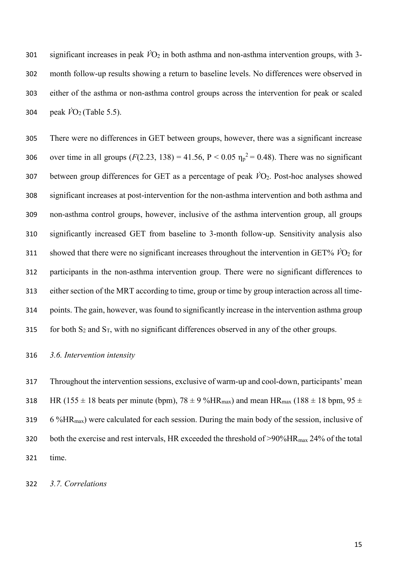301 significant increases in peak  $\dot{V}O_2$  in both asthma and non-asthma intervention groups, with 3- month follow-up results showing a return to baseline levels. No differences were observed in either of the asthma or non-asthma control groups across the intervention for peak or scaled 304 peak  $\hat{VO}_2$  (Table 5.5).

 There were no differences in GET between groups, however, there was a significant increase 306 over time in all groups  $(F(2.23, 138) = 41.56, P < 0.05$   $\eta_p^2 = 0.48$ ). There was no significant between group differences for GET as a percentage of peak *V̇*O2. Post-hoc analyses showed significant increases at post-intervention for the non-asthma intervention and both asthma and non-asthma control groups, however, inclusive of the asthma intervention group, all groups significantly increased GET from baseline to 3-month follow-up. Sensitivity analysis also 311 showed that there were no significant increases throughout the intervention in GET%  $\dot{V}O_2$  for participants in the non-asthma intervention group. There were no significant differences to either section of the MRT according to time, group or time by group interaction across all time- points. The gain, however, was found to significantly increase in the intervention asthma group 315 for both  $S_2$  and  $S_T$ , with no significant differences observed in any of the other groups.

*3.6. Intervention intensity*

 Throughout the intervention sessions, exclusive of warm-up and cool-down, participants' mean 318 HR (155  $\pm$  18 beats per minute (bpm), 78  $\pm$  9 %HR<sub>max</sub>) and mean HR<sub>max</sub> (188  $\pm$  18 bpm, 95  $\pm$ 319 6 %HR<sub>max</sub>) were calculated for each session. During the main body of the session, inclusive of 320 both the exercise and rest intervals, HR exceeded the threshold of  $>90\%$ HR<sub>max</sub> 24% of the total time.

*3.7. Correlations*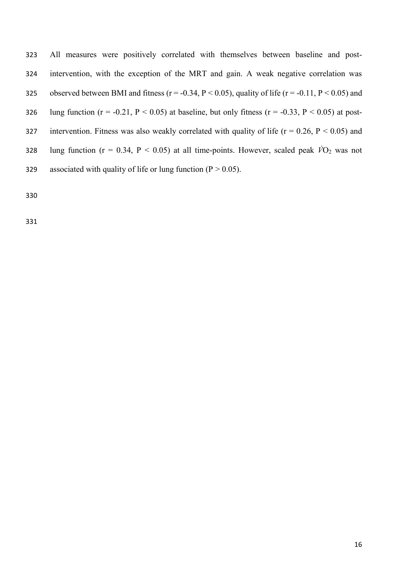323 All measures were positively correlated with themselves between baseline and post-324 intervention, with the exception of the MRT and gain. A weak negative correlation was 325 observed between BMI and fitness ( $r = -0.34$ ,  $P < 0.05$ ), quality of life ( $r = -0.11$ ,  $P < 0.05$ ) and 326 lung function  $(r = -0.21, P < 0.05)$  at baseline, but only fitness  $(r = -0.33, P < 0.05)$  at post-327 intervention. Fitness was also weakly correlated with quality of life ( $r = 0.26$ ,  $P < 0.05$ ) and 328 lung function ( $r = 0.34$ ,  $P < 0.05$ ) at all time-points. However, scaled peak  $\dot{V}O_2$  was not 329 associated with quality of life or lung function ( $P > 0.05$ ).

330

331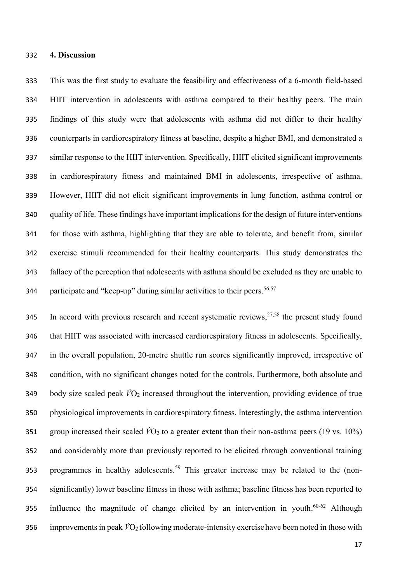#### **4. Discussion**

 This was the first study to evaluate the feasibility and effectiveness of a 6-month field-based HIIT intervention in adolescents with asthma compared to their healthy peers. The main findings of this study were that adolescents with asthma did not differ to their healthy counterparts in cardiorespiratory fitness at baseline, despite a higher BMI, and demonstrated a similar response to the HIIT intervention. Specifically, HIIT elicited significant improvements in cardiorespiratory fitness and maintained BMI in adolescents, irrespective of asthma. However, HIIT did not elicit significant improvements in lung function, asthma control or quality of life. These findings have important implications for the design of future interventions for those with asthma, highlighting that they are able to tolerate, and benefit from, similar exercise stimuli recommended for their healthy counterparts. This study demonstrates the fallacy of the perception that adolescents with asthma should be excluded as they are unable to 344 participate and "keep-up" during similar activities to their peers.<sup>56,57</sup>

345 In accord with previous research and recent systematic reviews,  $27,58$  the present study found that HIIT was associated with increased cardiorespiratory fitness in adolescents. Specifically, in the overall population, 20-metre shuttle run scores significantly improved, irrespective of condition, with no significant changes noted for the controls. Furthermore, both absolute and body size scaled peak  $\dot{V}O_2$  increased throughout the intervention, providing evidence of true physiological improvements in cardiorespiratory fitness. Interestingly, the asthma intervention 351 group increased their scaled  $\dot{V}O_2$  to a greater extent than their non-asthma peers (19 vs. 10%) and considerably more than previously reported to be elicited through conventional training 353 programmes in healthy adolescents.<sup>59</sup> This greater increase may be related to the (non- significantly) lower baseline fitness in those with asthma; baseline fitness has been reported to 355 influence the magnitude of change elicited by an intervention in youth.<sup>60-62</sup> Although improvements in peak  $\dot{V}O_2$  following moderate-intensity exercise have been noted in those with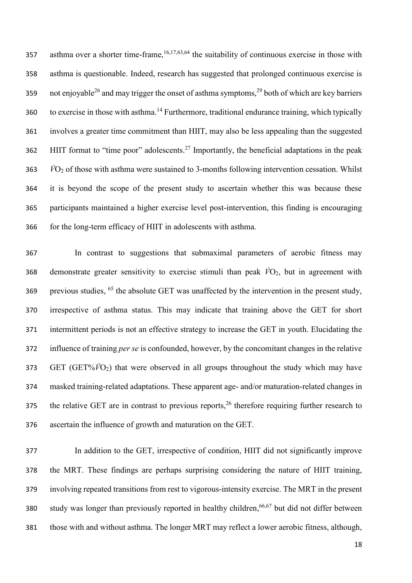357 asthma over a shorter time-frame,  $16,17,63,64$  the suitability of continuous exercise in those with asthma is questionable. Indeed, research has suggested that prolonged continuous exercise is 359 not enjoyable<sup>26</sup> and may trigger the onset of asthma symptoms,<sup>29</sup> both of which are key barriers 360 to exercise in those with asthma.<sup>14</sup> Furthermore, traditional endurance training, which typically involves a greater time commitment than HIIT, may also be less appealing than the suggested  $HIIT$  format to "time poor" adolescents.<sup>27</sup> Importantly, the beneficial adaptations in the peak *V̇*O<sup>2</sup> of those with asthma were sustained to 3-months following intervention cessation. Whilst it is beyond the scope of the present study to ascertain whether this was because these participants maintained a higher exercise level post-intervention, this finding is encouraging for the long-term efficacy of HIIT in adolescents with asthma.

 In contrast to suggestions that submaximal parameters of aerobic fitness may 368 demonstrate greater sensitivity to exercise stimuli than peak  $\dot{V}O_2$ , but in agreement with 369 previous studies, the absolute GET was unaffected by the intervention in the present study, irrespective of asthma status. This may indicate that training above the GET for short intermittent periods is not an effective strategy to increase the GET in youth. Elucidating the influence of training *per se* is confounded, however, by the concomitant changes in the relative GET (GET% $\dot{V}O_2$ ) that were observed in all groups throughout the study which may have masked training-related adaptations. These apparent age- and/or maturation-related changes in the relative GET are in contrast to previous reports,<sup>26</sup> therefore requiring further research to ascertain the influence of growth and maturation on the GET.

 In addition to the GET, irrespective of condition, HIIT did not significantly improve the MRT. These findings are perhaps surprising considering the nature of HIIT training, involving repeated transitions from rest to vigorous-intensity exercise. The MRT in the present 380 study was longer than previously reported in healthy children,  $66,67$  but did not differ between those with and without asthma. The longer MRT may reflect a lower aerobic fitness, although,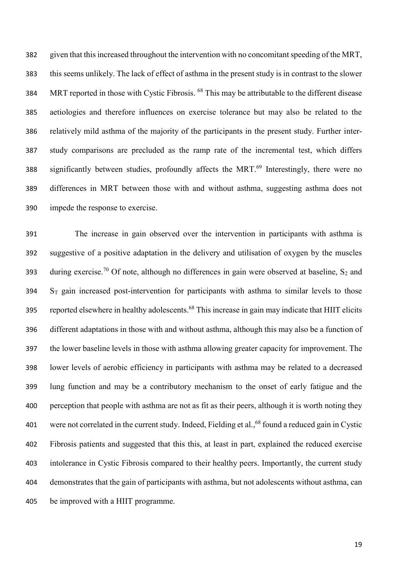given that this increased throughout the intervention with no concomitant speeding of the MRT, this seems unlikely. The lack of effect of asthma in the present study is in contrast to the slower 384 MRT reported in those with Cystic Fibrosis. <sup>68</sup> This may be attributable to the different disease aetiologies and therefore influences on exercise tolerance but may also be related to the relatively mild asthma of the majority of the participants in the present study. Further inter- study comparisons are precluded as the ramp rate of the incremental test, which differs 388 significantly between studies, profoundly affects the MRT.<sup>69</sup> Interestingly, there were no differences in MRT between those with and without asthma, suggesting asthma does not impede the response to exercise.

 The increase in gain observed over the intervention in participants with asthma is suggestive of a positive adaptation in the delivery and utilisation of oxygen by the muscles 393 during exercise.<sup>70</sup> Of note, although no differences in gain were observed at baseline, S<sub>2</sub> and S<sub>T</sub> gain increased post-intervention for participants with asthma to similar levels to those 395 reported elsewhere in healthy adolescents.<sup>68</sup> This increase in gain may indicate that HIIT elicits different adaptations in those with and without asthma, although this may also be a function of the lower baseline levels in those with asthma allowing greater capacity for improvement. The lower levels of aerobic efficiency in participants with asthma may be related to a decreased lung function and may be a contributory mechanism to the onset of early fatigue and the perception that people with asthma are not as fit as their peers, although it is worth noting they 401 were not correlated in the current study. Indeed, Fielding et al.,<sup>68</sup> found a reduced gain in Cystic Fibrosis patients and suggested that this this, at least in part, explained the reduced exercise intolerance in Cystic Fibrosis compared to their healthy peers. Importantly, the current study demonstrates that the gain of participants with asthma, but not adolescents without asthma, can be improved with a HIIT programme.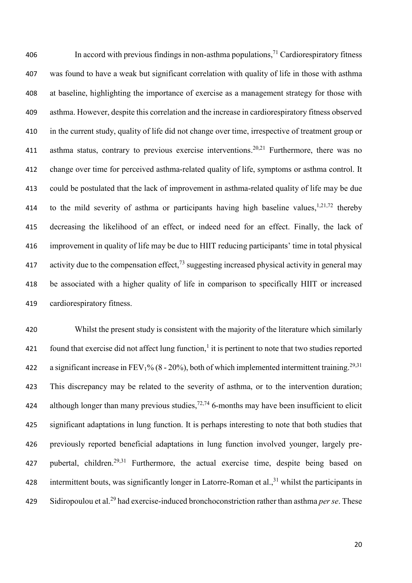$\blacksquare$  In accord with previous findings in non-asthma populations,<sup>71</sup> Cardiorespiratory fitness was found to have a weak but significant correlation with quality of life in those with asthma at baseline, highlighting the importance of exercise as a management strategy for those with asthma. However, despite this correlation and the increase in cardiorespiratory fitness observed in the current study, quality of life did not change over time, irrespective of treatment group or 411 asthma status, contrary to previous exercise interventions.<sup>20,21</sup> Furthermore, there was no change over time for perceived asthma-related quality of life, symptoms or asthma control. It could be postulated that the lack of improvement in asthma-related quality of life may be due 414 to the mild severity of asthma or participants having high baseline values,  $1,21,72$  thereby decreasing the likelihood of an effect, or indeed need for an effect. Finally, the lack of improvement in quality of life may be due to HIIT reducing participants' time in total physical 417 activity due to the compensation effect, suggesting increased physical activity in general may be associated with a higher quality of life in comparison to specifically HIIT or increased cardiorespiratory fitness.

 Whilst the present study is consistent with the majority of the literature which similarly 421 found that exercise did not affect lung function, $<sup>1</sup>$  it is pertinent to note that two studies reported</sup> 422 a significant increase in FEV<sub>1</sub>% (8 - 20%), both of which implemented intermittent training.<sup>29,31</sup> This discrepancy may be related to the severity of asthma, or to the intervention duration; 424 although longer than many previous studies,  $72,74$  6-months may have been insufficient to elicit significant adaptations in lung function. It is perhaps interesting to note that both studies that previously reported beneficial adaptations in lung function involved younger, largely pre-427 pubertal, children.<sup>29,31</sup> Furthermore, the actual exercise time, despite being based on 428 intermittent bouts, was significantly longer in Latorre-Roman et al., <sup>31</sup> whilst the participants in Sidiropoulou et al.<sup>29</sup> had exercise-induced bronchoconstriction rather than asthma *per se*. These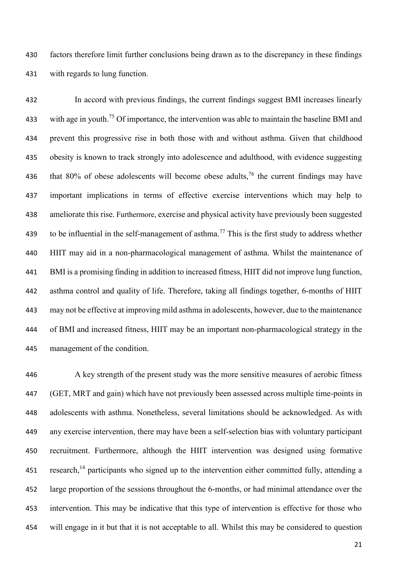factors therefore limit further conclusions being drawn as to the discrepancy in these findings with regards to lung function.

 In accord with previous findings, the current findings suggest BMI increases linearly 433 with age in youth.<sup>75</sup> Of importance, the intervention was able to maintain the baseline BMI and prevent this progressive rise in both those with and without asthma. Given that childhood obesity is known to track strongly into adolescence and adulthood, with evidence suggesting 436 that 80% of obese adolescents will become obese adults,<sup>76</sup> the current findings may have important implications in terms of effective exercise interventions which may help to ameliorate this rise. Furthermore, exercise and physical activity have previously been suggested 439 to be influential in the self-management of asthma.<sup>77</sup> This is the first study to address whether HIIT may aid in a non-pharmacological management of asthma. Whilst the maintenance of BMI is a promising finding in addition to increased fitness, HIIT did not improve lung function, asthma control and quality of life. Therefore, taking all findings together, 6-months of HIIT may not be effective at improving mild asthma in adolescents, however, due to the maintenance of BMI and increased fitness, HIIT may be an important non-pharmacological strategy in the management of the condition.

 A key strength of the present study was the more sensitive measures of aerobic fitness (GET, MRT and gain) which have not previously been assessed across multiple time-points in adolescents with asthma. Nonetheless, several limitations should be acknowledged. As with any exercise intervention, there may have been a self-selection bias with voluntary participant recruitment. Furthermore, although the HIIT intervention was designed using formative 451 research,<sup>14</sup> participants who signed up to the intervention either committed fully, attending a large proportion of the sessions throughout the 6-months, or had minimal attendance over the intervention. This may be indicative that this type of intervention is effective for those who will engage in it but that it is not acceptable to all. Whilst this may be considered to question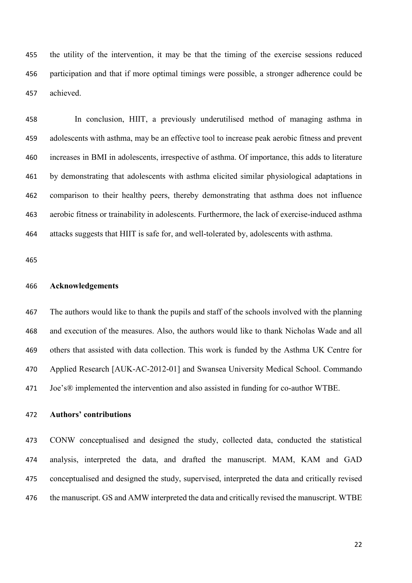the utility of the intervention, it may be that the timing of the exercise sessions reduced participation and that if more optimal timings were possible, a stronger adherence could be achieved.

 In conclusion, HIIT, a previously underutilised method of managing asthma in adolescents with asthma, may be an effective tool to increase peak aerobic fitness and prevent increases in BMI in adolescents, irrespective of asthma. Of importance, this adds to literature by demonstrating that adolescents with asthma elicited similar physiological adaptations in comparison to their healthy peers, thereby demonstrating that asthma does not influence aerobic fitness or trainability in adolescents. Furthermore, the lack of exercise-induced asthma attacks suggests that HIIT is safe for, and well-tolerated by, adolescents with asthma.

## **Acknowledgements**

 The authors would like to thank the pupils and staff of the schools involved with the planning and execution of the measures. Also, the authors would like to thank Nicholas Wade and all others that assisted with data collection. This work is funded by the Asthma UK Centre for Applied Research [AUK-AC-2012-01] and Swansea University Medical School. Commando Joe's® implemented the intervention and also assisted in funding for co-author WTBE.

# **Authors' contributions**

 CONW conceptualised and designed the study, collected data, conducted the statistical analysis, interpreted the data, and drafted the manuscript. MAM, KAM and GAD conceptualised and designed the study, supervised, interpreted the data and critically revised the manuscript. GS and AMW interpreted the data and critically revised the manuscript. WTBE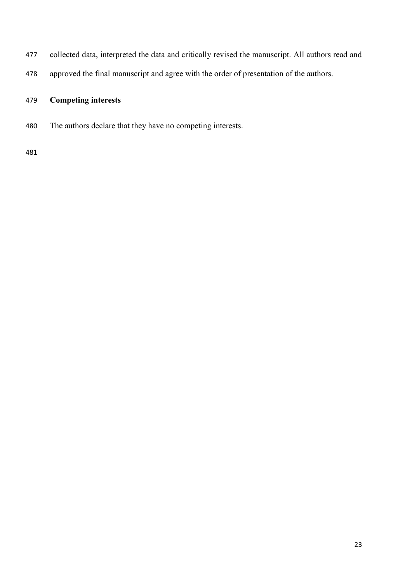- collected data, interpreted the data and critically revised the manuscript. All authors read and
- approved the final manuscript and agree with the order of presentation of the authors.

# **Competing interests**

The authors declare that they have no competing interests.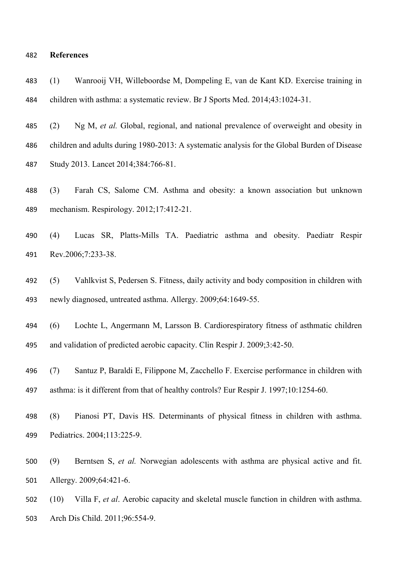#### **References**

 (1) Wanrooij VH, Willeboordse M, Dompeling E, van de Kant KD. Exercise training in children with asthma: a systematic review. Br J Sports Med. 2014;43:1024-31.

 (2) Ng M, *et al.* Global, regional, and national prevalence of overweight and obesity in children and adults during 1980-2013: A systematic analysis for the Global Burden of Disease Study 2013. Lancet 2014;384:766-81.

 (3) Farah CS, Salome CM. Asthma and obesity: a known association but unknown mechanism. Respirology. 2012;17:412-21.

 (4) Lucas SR, Platts-Mills TA. Paediatric asthma and obesity. Paediatr Respir Rev.2006;7:233-38.

 (5) Vahlkvist S, Pedersen S. Fitness, daily activity and body composition in children with newly diagnosed, untreated asthma. Allergy. 2009;64:1649-55.

 (6) Lochte L, Angermann M, Larsson B. Cardiorespiratory fitness of asthmatic children and validation of predicted aerobic capacity. Clin Respir J. 2009;3:42-50.

 (7) Santuz P, Baraldi E, Filippone M, Zacchello F. Exercise performance in children with asthma: is it different from that of healthy controls? Eur Respir J. 1997;10:1254-60.

 (8) Pianosi PT, Davis HS. Determinants of physical fitness in children with asthma. Pediatrics. 2004;113:225-9.

 (9) Berntsen S, *et al.* Norwegian adolescents with asthma are physical active and fit. Allergy. 2009;64:421-6.

 (10) Villa F, *et al*. Aerobic capacity and skeletal muscle function in children with asthma. Arch Dis Child. 2011;96:554-9.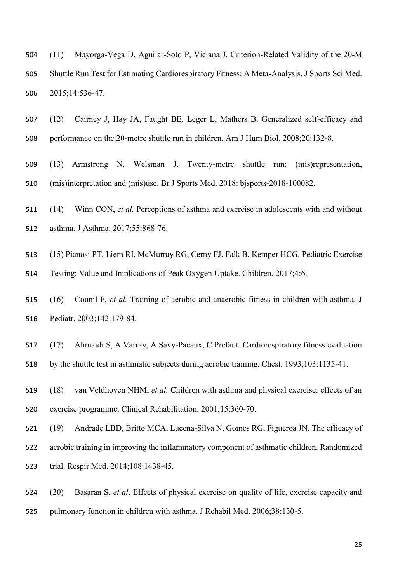(11) Mayorga-Vega D, Aguilar-Soto P, Viciana J. Criterion-Related Validity of the 20-M Shuttle Run Test for Estimating Cardiorespiratory Fitness: A Meta-Analysis. J Sports Sci Med. 2015;14:536-47.

 (12) Cairney J, Hay JA, Faught BE, Leger L, Mathers B. Generalized self-efficacy and performance on the 20-metre shuttle run in children. Am J Hum Biol. 2008;20:132-8.

 (13) Armstrong N, Welsman J. Twenty-metre shuttle run: (mis)representation, (mis)interpretation and (mis)use. Br J Sports Med. 2018: bjsports-2018-100082.

 (14) Winn CON, *et al.* Perceptions of asthma and exercise in adolescents with and without asthma. J Asthma. 2017;55:868-76.

(15) Pianosi PT, Liem RI, McMurray RG, Cerny FJ, Falk B, Kemper HCG. Pediatric Exercise

Testing: Value and Implications of Peak Oxygen Uptake. Children. 2017;4:6.

 (16) Counil F, *et al.* Training of aerobic and anaerobic fitness in children with asthma. J Pediatr. 2003;142:179-84.

 (17) Ahmaidi S, A Varray, A Savy-Pacaux, C Prefaut. Cardiorespiratory fitness evaluation by the shuttle test in asthmatic subjects during aerobic training. Chest. 1993;103:1135-41.

 (18) van Veldhoven NHM, *et al.* Children with asthma and physical exercise: effects of an exercise programme. Clinical Rehabilitation. 2001;15:360-70.

 (19) Andrade LBD, Britto MCA, Lucena-Silva N, Gomes RG, Figueroa JN. The efficacy of aerobic training in improving the inflammatory component of asthmatic children. Randomized trial. Respir Med. 2014;108:1438-45.

 (20) Basaran S, *et al*. Effects of physical exercise on quality of life, exercise capacity and pulmonary function in children with asthma. J Rehabil Med. 2006;38:130-5.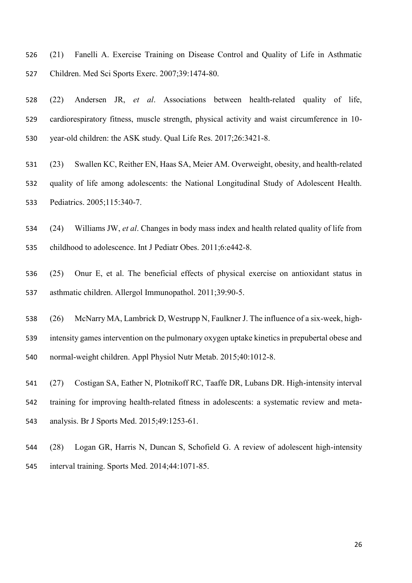(21) Fanelli A. Exercise Training on Disease Control and Quality of Life in Asthmatic Children. Med Sci Sports Exerc. 2007;39:1474-80.

 (22) Andersen JR, *et al*. Associations between health-related quality of life, cardiorespiratory fitness, muscle strength, physical activity and waist circumference in 10- year-old children: the ASK study. Qual Life Res. 2017;26:3421-8.

- (23) Swallen KC, Reither EN, Haas SA, Meier AM. Overweight, obesity, and health-related quality of life among adolescents: the National Longitudinal Study of Adolescent Health. Pediatrics. 2005;115:340-7.
- (24) Williams JW, *et al*. Changes in body mass index and health related quality of life from childhood to adolescence. Int J Pediatr Obes. 2011;6:e442-8.
- (25) Onur E, et al. The beneficial effects of physical exercise on antioxidant status in asthmatic children. Allergol Immunopathol. 2011;39:90-5.
- (26) McNarry MA, Lambrick D, Westrupp N, Faulkner J. The influence of a six-week, high- intensity games intervention on the pulmonary oxygen uptake kinetics in prepubertal obese and normal-weight children. Appl Physiol Nutr Metab. 2015;40:1012-8.
- (27) Costigan SA, Eather N, Plotnikoff RC, Taaffe DR, Lubans DR. High-intensity interval training for improving health-related fitness in adolescents: a systematic review and meta-analysis. Br J Sports Med. 2015;49:1253-61.
- (28) Logan GR, Harris N, Duncan S, Schofield G. A review of adolescent high-intensity interval training. Sports Med. 2014;44:1071-85.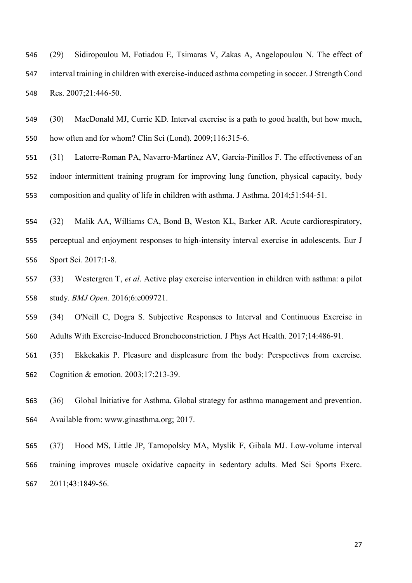(29) Sidiropoulou M, Fotiadou E, Tsimaras V, Zakas A, Angelopoulou N. The effect of interval training in children with exercise-induced asthma competing in soccer. J Strength Cond Res. 2007;21:446-50.

 (30) MacDonald MJ, Currie KD. Interval exercise is a path to good health, but how much, how often and for whom? Clin Sci (Lond). 2009;116:315-6.

 (31) Latorre-Roman PA, Navarro-Martinez AV, Garcia-Pinillos F. The effectiveness of an indoor intermittent training program for improving lung function, physical capacity, body composition and quality of life in children with asthma. J Asthma. 2014;51:544-51.

 (32) Malik AA, Williams CA, Bond B, Weston KL, Barker AR. Acute cardiorespiratory, perceptual and enjoyment responses to high-intensity interval exercise in adolescents. Eur J Sport Sci*.* 2017:1-8.

 (33) Westergren T, *et al*. Active play exercise intervention in children with asthma: a pilot study. *BMJ Open.* 2016;6:e009721.

(34) O'Neill C, Dogra S. Subjective Responses to Interval and Continuous Exercise in

Adults With Exercise-Induced Bronchoconstriction. J Phys Act Health. 2017;14:486-91.

 (35) Ekkekakis P. Pleasure and displeasure from the body: Perspectives from exercise. Cognition & emotion. 2003;17:213-39.

 (36) Global Initiative for Asthma. Global strategy for asthma management and prevention. Available from: www.ginasthma.org; 2017.

 (37) Hood MS, Little JP, Tarnopolsky MA, Myslik F, Gibala MJ. Low-volume interval training improves muscle oxidative capacity in sedentary adults. Med Sci Sports Exerc. 2011;43:1849-56.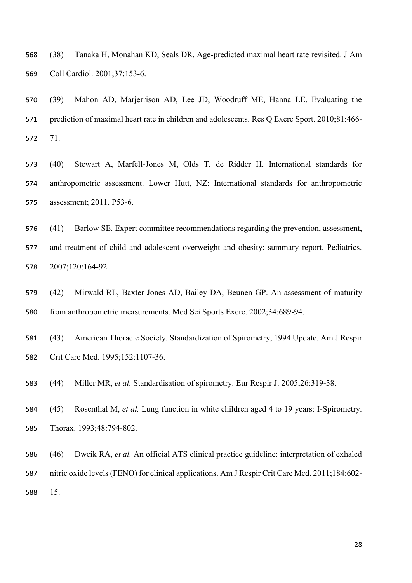(38) Tanaka H, Monahan KD, Seals DR. Age-predicted maximal heart rate revisited. J Am Coll Cardiol. 2001;37:153-6.

 (39) Mahon AD, Marjerrison AD, Lee JD, Woodruff ME, Hanna LE. Evaluating the 571 prediction of maximal heart rate in children and adolescents. Res Q Exerc Sport. 2010;81:466-71.

 (40) Stewart A, Marfell-Jones M, Olds T, de Ridder H. International standards for anthropometric assessment. Lower Hutt, NZ: International standards for anthropometric assessment; 2011. P53-6.

 (41) Barlow SE. Expert committee recommendations regarding the prevention, assessment, and treatment of child and adolescent overweight and obesity: summary report. Pediatrics. 2007;120:164-92.

 (42) Mirwald RL, Baxter-Jones AD, Bailey DA, Beunen GP. An assessment of maturity from anthropometric measurements. Med Sci Sports Exerc. 2002;34:689-94.

 (43) American Thoracic Society. Standardization of Spirometry, 1994 Update. Am J Respir Crit Care Med. 1995;152:1107-36.

(44) Miller MR, *et al.* Standardisation of spirometry. Eur Respir J. 2005;26:319-38.

 (45) Rosenthal M, *et al.* Lung function in white children aged 4 to 19 years: I-Spirometry. Thorax. 1993;48:794-802.

 (46) Dweik RA, *et al.* An official ATS clinical practice guideline: interpretation of exhaled nitric oxide levels (FENO) for clinical applications. Am J Respir Crit Care Med. 2011;184:602- 15.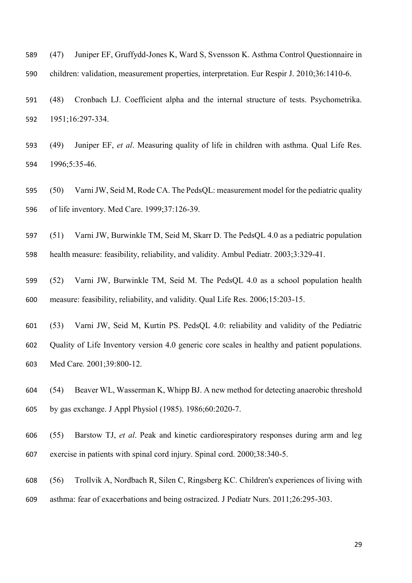(47) Juniper EF, Gruffydd-Jones K, Ward S, Svensson K. Asthma Control Questionnaire in children: validation, measurement properties, interpretation. Eur Respir J. 2010;36:1410-6.

 (48) Cronbach LJ. Coefficient alpha and the internal structure of tests. Psychometrika. 1951;16:297-334.

 (49) Juniper EF, *et al*. Measuring quality of life in children with asthma. Qual Life Res. 1996;5:35-46.

 (50) Varni JW, Seid M, Rode CA. The PedsQL: measurement model for the pediatric quality of life inventory. Med Care. 1999;37:126-39.

 (51) Varni JW, Burwinkle TM, Seid M, Skarr D. The PedsQL 4.0 as a pediatric population health measure: feasibility, reliability, and validity. Ambul Pediatr. 2003;3:329-41.

 (52) Varni JW, Burwinkle TM, Seid M. The PedsQL 4.0 as a school population health measure: feasibility, reliability, and validity. Qual Life Res. 2006;15:203-15.

 (53) Varni JW, Seid M, Kurtin PS. PedsQL 4.0: reliability and validity of the Pediatric Quality of Life Inventory version 4.0 generic core scales in healthy and patient populations. Med Care*.* 2001;39:800-12.

 (54) Beaver WL, Wasserman K, Whipp BJ. A new method for detecting anaerobic threshold by gas exchange. J Appl Physiol (1985). 1986;60:2020-7.

 (55) Barstow TJ, *et al*. Peak and kinetic cardiorespiratory responses during arm and leg exercise in patients with spinal cord injury. Spinal cord. 2000;38:340-5.

 (56) Trollvik A, Nordbach R, Silen C, Ringsberg KC. Children's experiences of living with asthma: fear of exacerbations and being ostracized. J Pediatr Nurs. 2011;26:295-303.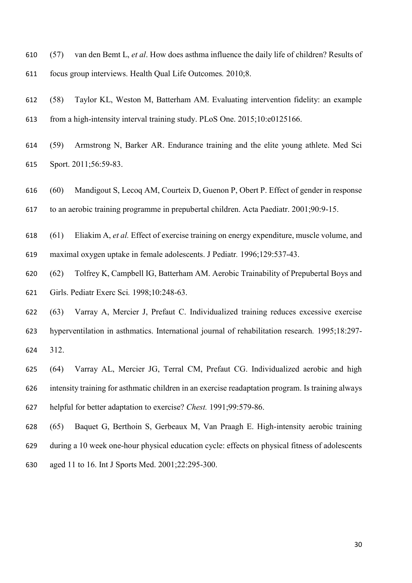(57) van den Bemt L, *et al*. How does asthma influence the daily life of children? Results of focus group interviews. Health Qual Life Outcomes*.* 2010;8.

- (58) Taylor KL, Weston M, Batterham AM. Evaluating intervention fidelity: an example from a high-intensity interval training study. PLoS One. 2015;10:e0125166.
- (59) Armstrong N, Barker AR. Endurance training and the elite young athlete. Med Sci Sport. 2011;56:59-83.
- (60) Mandigout S, Lecoq AM, Courteix D, Guenon P, Obert P. Effect of gender in response to an aerobic training programme in prepubertal children. Acta Paediatr. 2001;90:9-15.
- (61) Eliakim A, *et al.* Effect of exercise training on energy expenditure, muscle volume, and
- maximal oxygen uptake in female adolescents. J Pediatr*.* 1996;129:537-43.
- (62) Tolfrey K, Campbell IG, Batterham AM. Aerobic Trainability of Prepubertal Boys and Girls. Pediatr Exerc Sci*.* 1998;10:248-63.
- (63) Varray A, Mercier J, Prefaut C. Individualized training reduces excessive exercise hyperventilation in asthmatics. International journal of rehabilitation research*.* 1995;18:297- 312.
- (64) Varray AL, Mercier JG, Terral CM, Prefaut CG. Individualized aerobic and high intensity training for asthmatic children in an exercise readaptation program. Is training always helpful for better adaptation to exercise? *Chest.* 1991;99:579-86.
- (65) Baquet G, Berthoin S, Gerbeaux M, Van Praagh E. High-intensity aerobic training during a 10 week one-hour physical education cycle: effects on physical fitness of adolescents aged 11 to 16. Int J Sports Med. 2001;22:295-300.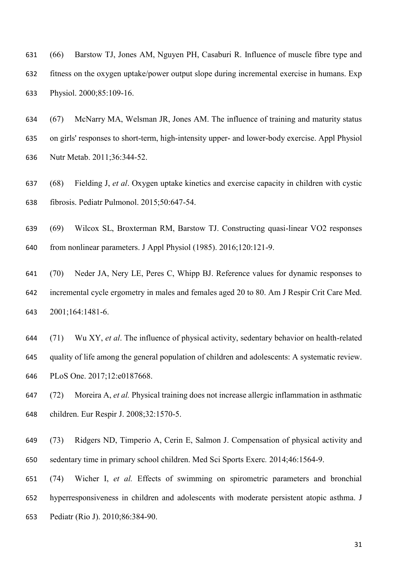- (66) Barstow TJ, Jones AM, Nguyen PH, Casaburi R. Influence of muscle fibre type and fitness on the oxygen uptake/power output slope during incremental exercise in humans. Exp Physiol. 2000;85:109-16.
- (67) McNarry MA, Welsman JR, Jones AM. The influence of training and maturity status on girls' responses to short-term, high-intensity upper- and lower-body exercise. Appl Physiol Nutr Metab. 2011;36:344-52.
- (68) Fielding J, *et al*. Oxygen uptake kinetics and exercise capacity in children with cystic fibrosis. Pediatr Pulmonol. 2015;50:647-54.
- (69) Wilcox SL, Broxterman RM, Barstow TJ. Constructing quasi-linear VO2 responses from nonlinear parameters. J Appl Physiol (1985). 2016;120:121-9.
- (70) Neder JA, Nery LE, Peres C, Whipp BJ. Reference values for dynamic responses to incremental cycle ergometry in males and females aged 20 to 80. Am J Respir Crit Care Med. 2001;164:1481-6.
- (71) Wu XY, *et al*. The influence of physical activity, sedentary behavior on health-related quality of life among the general population of children and adolescents: A systematic review. PLoS One. 2017;12:e0187668.
- (72) Moreira A, *et al.* Physical training does not increase allergic inflammation in asthmatic children. Eur Respir J. 2008;32:1570-5.
- (73) Ridgers ND, Timperio A, Cerin E, Salmon J. Compensation of physical activity and sedentary time in primary school children. Med Sci Sports Exerc*.* 2014;46:1564-9.
- (74) Wicher I, *et al.* Effects of swimming on spirometric parameters and bronchial hyperresponsiveness in children and adolescents with moderate persistent atopic asthma. J Pediatr (Rio J). 2010;86:384-90.